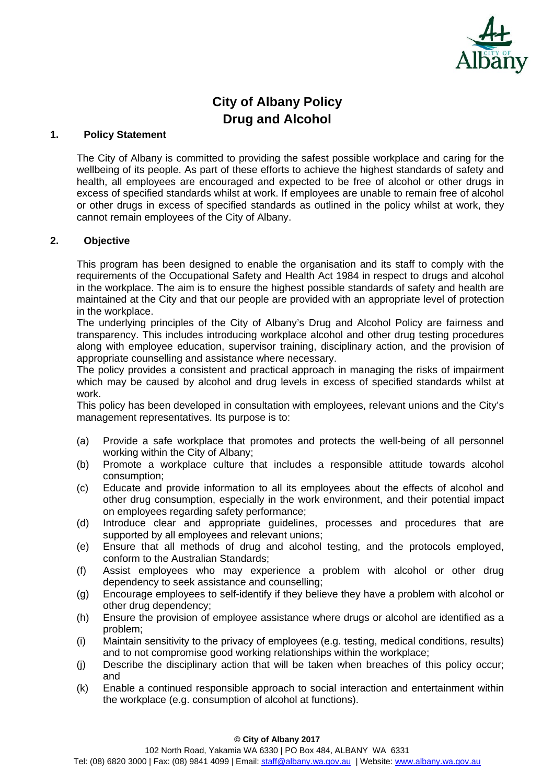

# **City of Albany Policy Drug and Alcohol**

### **1. Policy Statement**

The City of Albany is committed to providing the safest possible workplace and caring for the wellbeing of its people. As part of these efforts to achieve the highest standards of safety and health, all employees are encouraged and expected to be free of alcohol or other drugs in excess of specified standards whilst at work. If employees are unable to remain free of alcohol or other drugs in excess of specified standards as outlined in the policy whilst at work, they cannot remain employees of the City of Albany.

#### **2. Objective**

This program has been designed to enable the organisation and its staff to comply with the requirements of the Occupational Safety and Health Act 1984 in respect to drugs and alcohol in the workplace. The aim is to ensure the highest possible standards of safety and health are maintained at the City and that our people are provided with an appropriate level of protection in the workplace.

The underlying principles of the City of Albany's Drug and Alcohol Policy are fairness and transparency. This includes introducing workplace alcohol and other drug testing procedures along with employee education, supervisor training, disciplinary action, and the provision of appropriate counselling and assistance where necessary.

The policy provides a consistent and practical approach in managing the risks of impairment which may be caused by alcohol and drug levels in excess of specified standards whilst at work.

This policy has been developed in consultation with employees, relevant unions and the City's management representatives. Its purpose is to:

- (a) Provide a safe workplace that promotes and protects the well-being of all personnel working within the City of Albany;
- (b) Promote a workplace culture that includes a responsible attitude towards alcohol consumption;
- (c) Educate and provide information to all its employees about the effects of alcohol and other drug consumption, especially in the work environment, and their potential impact on employees regarding safety performance;
- (d) Introduce clear and appropriate guidelines, processes and procedures that are supported by all employees and relevant unions;
- (e) Ensure that all methods of drug and alcohol testing, and the protocols employed, conform to the Australian Standards;
- (f) Assist employees who may experience a problem with alcohol or other drug dependency to seek assistance and counselling;
- (g) Encourage employees to self-identify if they believe they have a problem with alcohol or other drug dependency;
- (h) Ensure the provision of employee assistance where drugs or alcohol are identified as a problem;
- (i) Maintain sensitivity to the privacy of employees (e.g. testing, medical conditions, results) and to not compromise good working relationships within the workplace;
- (j) Describe the disciplinary action that will be taken when breaches of this policy occur; and
- (k) Enable a continued responsible approach to social interaction and entertainment within the workplace (e.g. consumption of alcohol at functions).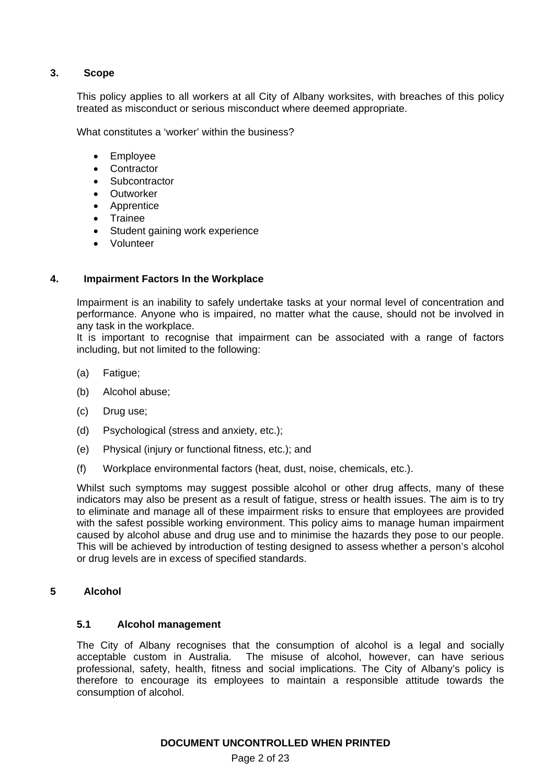# **3. Scope**

This policy applies to all workers at all City of Albany worksites, with breaches of this policy treated as misconduct or serious misconduct where deemed appropriate.

What constitutes a 'worker' within the business?

- Employee
- Contractor
- **Subcontractor**
- **•** Outworker
- Apprentice
- Trainee
- Student gaining work experience
- Volunteer

#### **4. Impairment Factors In the Workplace**

Impairment is an inability to safely undertake tasks at your normal level of concentration and performance. Anyone who is impaired, no matter what the cause, should not be involved in any task in the workplace.

It is important to recognise that impairment can be associated with a range of factors including, but not limited to the following:

- (a) Fatigue;
- (b) Alcohol abuse;
- (c) Drug use;
- (d) Psychological (stress and anxiety, etc.);
- (e) Physical (injury or functional fitness, etc.); and
- (f) Workplace environmental factors (heat, dust, noise, chemicals, etc.).

Whilst such symptoms may suggest possible alcohol or other drug affects, many of these indicators may also be present as a result of fatigue, stress or health issues. The aim is to try to eliminate and manage all of these impairment risks to ensure that employees are provided with the safest possible working environment. This policy aims to manage human impairment caused by alcohol abuse and drug use and to minimise the hazards they pose to our people. This will be achieved by introduction of testing designed to assess whether a person's alcohol or drug levels are in excess of specified standards.

# **5 Alcohol**

# **5.1 Alcohol management**

The City of Albany recognises that the consumption of alcohol is a legal and socially acceptable custom in Australia. The misuse of alcohol, however, can have serious professional, safety, health, fitness and social implications. The City of Albany's policy is therefore to encourage its employees to maintain a responsible attitude towards the consumption of alcohol.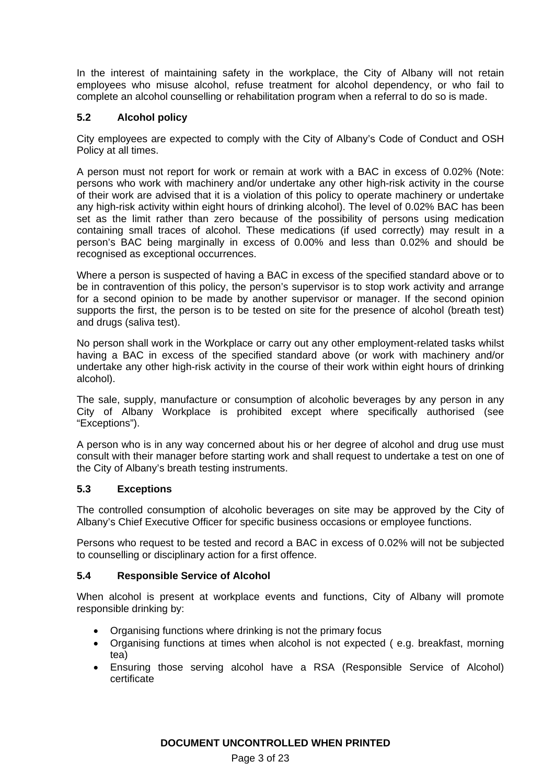In the interest of maintaining safety in the workplace, the City of Albany will not retain employees who misuse alcohol, refuse treatment for alcohol dependency, or who fail to complete an alcohol counselling or rehabilitation program when a referral to do so is made.

# **5.2 Alcohol policy**

City employees are expected to comply with the City of Albany's Code of Conduct and OSH Policy at all times.

A person must not report for work or remain at work with a BAC in excess of 0.02% (Note: persons who work with machinery and/or undertake any other high-risk activity in the course of their work are advised that it is a violation of this policy to operate machinery or undertake any high-risk activity within eight hours of drinking alcohol). The level of 0.02% BAC has been set as the limit rather than zero because of the possibility of persons using medication containing small traces of alcohol. These medications (if used correctly) may result in a person's BAC being marginally in excess of 0.00% and less than 0.02% and should be recognised as exceptional occurrences.

Where a person is suspected of having a BAC in excess of the specified standard above or to be in contravention of this policy, the person's supervisor is to stop work activity and arrange for a second opinion to be made by another supervisor or manager. If the second opinion supports the first, the person is to be tested on site for the presence of alcohol (breath test) and drugs (saliva test).

No person shall work in the Workplace or carry out any other employment-related tasks whilst having a BAC in excess of the specified standard above (or work with machinery and/or undertake any other high-risk activity in the course of their work within eight hours of drinking alcohol).

The sale, supply, manufacture or consumption of alcoholic beverages by any person in any City of Albany Workplace is prohibited except where specifically authorised (see "Exceptions").

A person who is in any way concerned about his or her degree of alcohol and drug use must consult with their manager before starting work and shall request to undertake a test on one of the City of Albany's breath testing instruments.

# **5.3 Exceptions**

The controlled consumption of alcoholic beverages on site may be approved by the City of Albany's Chief Executive Officer for specific business occasions or employee functions.

Persons who request to be tested and record a BAC in excess of 0.02% will not be subjected to counselling or disciplinary action for a first offence.

# **5.4 Responsible Service of Alcohol**

When alcohol is present at workplace events and functions, City of Albany will promote responsible drinking by:

- Organising functions where drinking is not the primary focus
- Organising functions at times when alcohol is not expected ( e.g. breakfast, morning tea)
- Ensuring those serving alcohol have a RSA (Responsible Service of Alcohol) certificate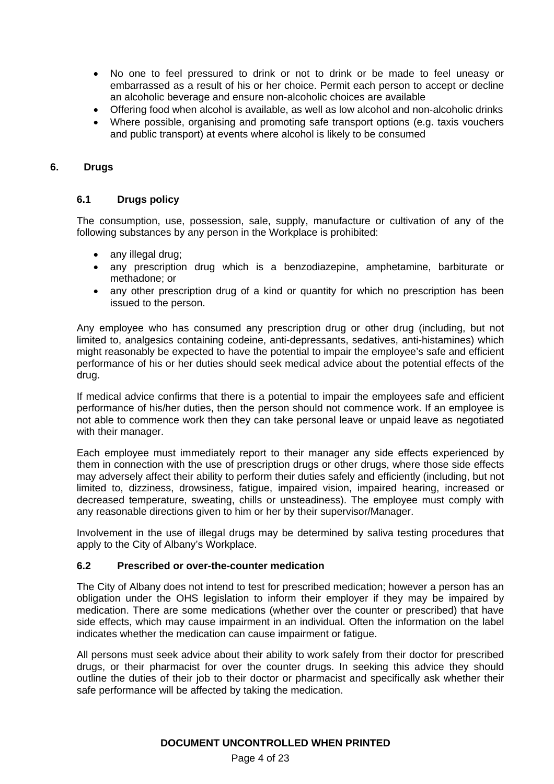- No one to feel pressured to drink or not to drink or be made to feel uneasy or embarrassed as a result of his or her choice. Permit each person to accept or decline an alcoholic beverage and ensure non-alcoholic choices are available
- Offering food when alcohol is available, as well as low alcohol and non-alcoholic drinks
- Where possible, organising and promoting safe transport options (e.g. taxis vouchers and public transport) at events where alcohol is likely to be consumed

# **6. Drugs**

# **6.1 Drugs policy**

The consumption, use, possession, sale, supply, manufacture or cultivation of any of the following substances by any person in the Workplace is prohibited:

- any illegal drug;
- any prescription drug which is a benzodiazepine, amphetamine, barbiturate or methadone; or
- any other prescription drug of a kind or quantity for which no prescription has been issued to the person.

Any employee who has consumed any prescription drug or other drug (including, but not limited to, analgesics containing codeine, anti-depressants, sedatives, anti-histamines) which might reasonably be expected to have the potential to impair the employee's safe and efficient performance of his or her duties should seek medical advice about the potential effects of the drug.

If medical advice confirms that there is a potential to impair the employees safe and efficient performance of his/her duties, then the person should not commence work. If an employee is not able to commence work then they can take personal leave or unpaid leave as negotiated with their manager.

Each employee must immediately report to their manager any side effects experienced by them in connection with the use of prescription drugs or other drugs, where those side effects may adversely affect their ability to perform their duties safely and efficiently (including, but not limited to, dizziness, drowsiness, fatigue, impaired vision, impaired hearing, increased or decreased temperature, sweating, chills or unsteadiness). The employee must comply with any reasonable directions given to him or her by their supervisor/Manager.

Involvement in the use of illegal drugs may be determined by saliva testing procedures that apply to the City of Albany's Workplace.

# **6.2 Prescribed or over-the-counter medication**

The City of Albany does not intend to test for prescribed medication; however a person has an obligation under the OHS legislation to inform their employer if they may be impaired by medication. There are some medications (whether over the counter or prescribed) that have side effects, which may cause impairment in an individual. Often the information on the label indicates whether the medication can cause impairment or fatigue.

All persons must seek advice about their ability to work safely from their doctor for prescribed drugs, or their pharmacist for over the counter drugs. In seeking this advice they should outline the duties of their job to their doctor or pharmacist and specifically ask whether their safe performance will be affected by taking the medication.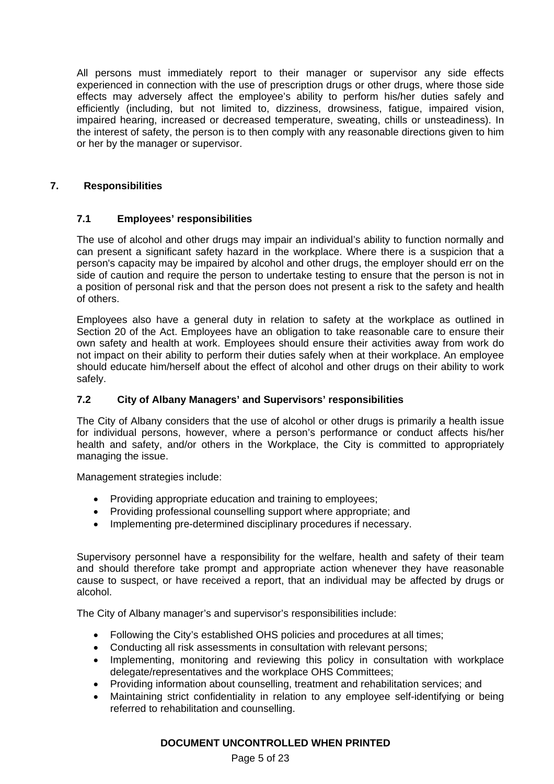All persons must immediately report to their manager or supervisor any side effects experienced in connection with the use of prescription drugs or other drugs, where those side effects may adversely affect the employee's ability to perform his/her duties safely and efficiently (including, but not limited to, dizziness, drowsiness, fatigue, impaired vision, impaired hearing, increased or decreased temperature, sweating, chills or unsteadiness). In the interest of safety, the person is to then comply with any reasonable directions given to him or her by the manager or supervisor.

# **7. Responsibilities**

# **7.1 Employees' responsibilities**

The use of alcohol and other drugs may impair an individual's ability to function normally and can present a significant safety hazard in the workplace. Where there is a suspicion that a person's capacity may be impaired by alcohol and other drugs, the employer should err on the side of caution and require the person to undertake testing to ensure that the person is not in a position of personal risk and that the person does not present a risk to the safety and health of others.

Employees also have a general duty in relation to safety at the workplace as outlined in Section 20 of the Act. Employees have an obligation to take reasonable care to ensure their own safety and health at work. Employees should ensure their activities away from work do not impact on their ability to perform their duties safely when at their workplace. An employee should educate him/herself about the effect of alcohol and other drugs on their ability to work safely.

# **7.2 City of Albany Managers' and Supervisors' responsibilities**

The City of Albany considers that the use of alcohol or other drugs is primarily a health issue for individual persons, however, where a person's performance or conduct affects his/her health and safety, and/or others in the Workplace, the City is committed to appropriately managing the issue.

Management strategies include:

- Providing appropriate education and training to employees;
- Providing professional counselling support where appropriate; and
- Implementing pre-determined disciplinary procedures if necessary.

Supervisory personnel have a responsibility for the welfare, health and safety of their team and should therefore take prompt and appropriate action whenever they have reasonable cause to suspect, or have received a report, that an individual may be affected by drugs or alcohol.

The City of Albany manager's and supervisor's responsibilities include:

- Following the City's established OHS policies and procedures at all times;
- Conducting all risk assessments in consultation with relevant persons;
- Implementing, monitoring and reviewing this policy in consultation with workplace delegate/representatives and the workplace OHS Committees;
- Providing information about counselling, treatment and rehabilitation services; and
- Maintaining strict confidentiality in relation to any employee self-identifying or being referred to rehabilitation and counselling.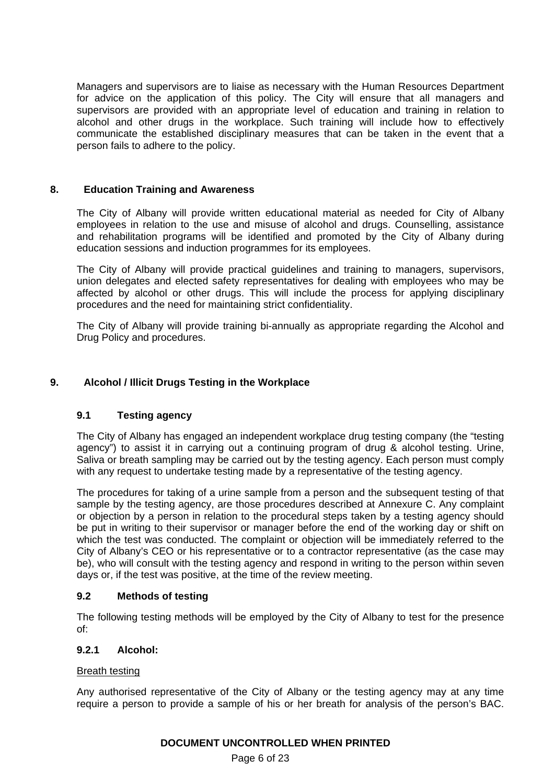Managers and supervisors are to liaise as necessary with the Human Resources Department for advice on the application of this policy. The City will ensure that all managers and supervisors are provided with an appropriate level of education and training in relation to alcohol and other drugs in the workplace. Such training will include how to effectively communicate the established disciplinary measures that can be taken in the event that a person fails to adhere to the policy.

# **8. Education Training and Awareness**

The City of Albany will provide written educational material as needed for City of Albany employees in relation to the use and misuse of alcohol and drugs. Counselling, assistance and rehabilitation programs will be identified and promoted by the City of Albany during education sessions and induction programmes for its employees.

The City of Albany will provide practical guidelines and training to managers, supervisors, union delegates and elected safety representatives for dealing with employees who may be affected by alcohol or other drugs. This will include the process for applying disciplinary procedures and the need for maintaining strict confidentiality.

The City of Albany will provide training bi-annually as appropriate regarding the Alcohol and Drug Policy and procedures.

# **9. Alcohol / Illicit Drugs Testing in the Workplace**

# **9.1 Testing agency**

The City of Albany has engaged an independent workplace drug testing company (the "testing agency") to assist it in carrying out a continuing program of drug & alcohol testing. Urine, Saliva or breath sampling may be carried out by the testing agency. Each person must comply with any request to undertake testing made by a representative of the testing agency.

The procedures for taking of a urine sample from a person and the subsequent testing of that sample by the testing agency, are those procedures described at Annexure C. Any complaint or objection by a person in relation to the procedural steps taken by a testing agency should be put in writing to their supervisor or manager before the end of the working day or shift on which the test was conducted. The complaint or objection will be immediately referred to the City of Albany's CEO or his representative or to a contractor representative (as the case may be), who will consult with the testing agency and respond in writing to the person within seven days or, if the test was positive, at the time of the review meeting.

#### **9.2 Methods of testing**

The following testing methods will be employed by the City of Albany to test for the presence of:

#### **9.2.1 Alcohol:**

#### Breath testing

Any authorised representative of the City of Albany or the testing agency may at any time require a person to provide a sample of his or her breath for analysis of the person's BAC.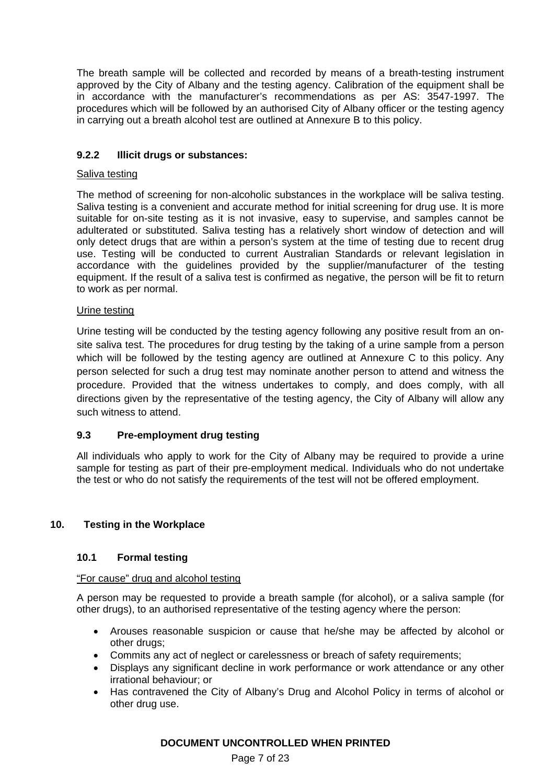The breath sample will be collected and recorded by means of a breath-testing instrument approved by the City of Albany and the testing agency. Calibration of the equipment shall be in accordance with the manufacturer's recommendations as per AS: 3547-1997. The procedures which will be followed by an authorised City of Albany officer or the testing agency in carrying out a breath alcohol test are outlined at Annexure B to this policy.

# **9.2.2 Illicit drugs or substances:**

# Saliva testing

The method of screening for non-alcoholic substances in the workplace will be saliva testing. Saliva testing is a convenient and accurate method for initial screening for drug use. It is more suitable for on-site testing as it is not invasive, easy to supervise, and samples cannot be adulterated or substituted. Saliva testing has a relatively short window of detection and will only detect drugs that are within a person's system at the time of testing due to recent drug use. Testing will be conducted to current Australian Standards or relevant legislation in accordance with the guidelines provided by the supplier/manufacturer of the testing equipment. If the result of a saliva test is confirmed as negative, the person will be fit to return to work as per normal.

# Urine testing

Urine testing will be conducted by the testing agency following any positive result from an onsite saliva test. The procedures for drug testing by the taking of a urine sample from a person which will be followed by the testing agency are outlined at Annexure C to this policy. Any person selected for such a drug test may nominate another person to attend and witness the procedure. Provided that the witness undertakes to comply, and does comply, with all directions given by the representative of the testing agency, the City of Albany will allow any such witness to attend.

# **9.3 Pre-employment drug testing**

All individuals who apply to work for the City of Albany may be required to provide a urine sample for testing as part of their pre-employment medical. Individuals who do not undertake the test or who do not satisfy the requirements of the test will not be offered employment.

# **10. Testing in the Workplace**

# **10.1 Formal testing**

#### "For cause" drug and alcohol testing

A person may be requested to provide a breath sample (for alcohol), or a saliva sample (for other drugs), to an authorised representative of the testing agency where the person:

- Arouses reasonable suspicion or cause that he/she may be affected by alcohol or other drugs;
- Commits any act of neglect or carelessness or breach of safety requirements;
- Displays any significant decline in work performance or work attendance or any other irrational behaviour; or
- Has contravened the City of Albany's Drug and Alcohol Policy in terms of alcohol or other drug use.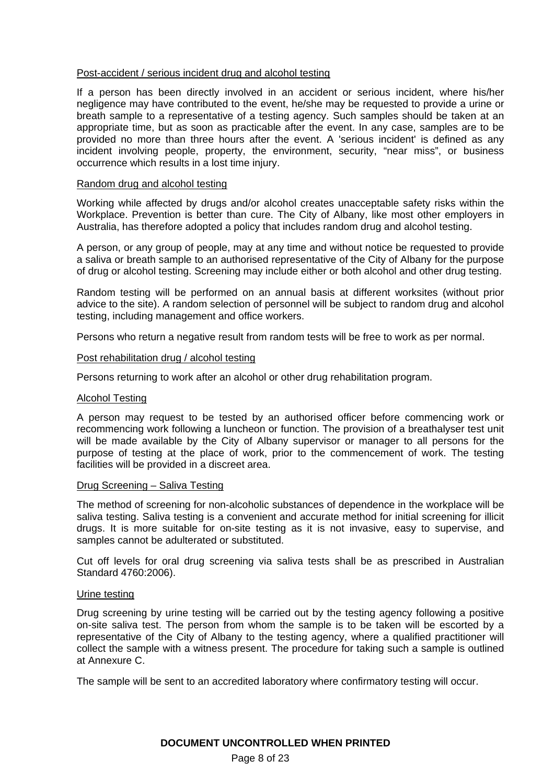#### Post-accident / serious incident drug and alcohol testing

If a person has been directly involved in an accident or serious incident, where his/her negligence may have contributed to the event, he/she may be requested to provide a urine or breath sample to a representative of a testing agency. Such samples should be taken at an appropriate time, but as soon as practicable after the event. In any case, samples are to be provided no more than three hours after the event. A 'serious incident' is defined as any incident involving people, property, the environment, security, "near miss", or business occurrence which results in a lost time injury.

#### Random drug and alcohol testing

Working while affected by drugs and/or alcohol creates unacceptable safety risks within the Workplace. Prevention is better than cure. The City of Albany, like most other employers in Australia, has therefore adopted a policy that includes random drug and alcohol testing.

A person, or any group of people, may at any time and without notice be requested to provide a saliva or breath sample to an authorised representative of the City of Albany for the purpose of drug or alcohol testing. Screening may include either or both alcohol and other drug testing.

Random testing will be performed on an annual basis at different worksites (without prior advice to the site). A random selection of personnel will be subject to random drug and alcohol testing, including management and office workers.

Persons who return a negative result from random tests will be free to work as per normal.

#### Post rehabilitation drug / alcohol testing

Persons returning to work after an alcohol or other drug rehabilitation program.

#### Alcohol Testing

A person may request to be tested by an authorised officer before commencing work or recommencing work following a luncheon or function. The provision of a breathalyser test unit will be made available by the City of Albany supervisor or manager to all persons for the purpose of testing at the place of work, prior to the commencement of work. The testing facilities will be provided in a discreet area.

#### Drug Screening – Saliva Testing

The method of screening for non-alcoholic substances of dependence in the workplace will be saliva testing. Saliva testing is a convenient and accurate method for initial screening for illicit drugs. It is more suitable for on-site testing as it is not invasive, easy to supervise, and samples cannot be adulterated or substituted.

Cut off levels for oral drug screening via saliva tests shall be as prescribed in Australian Standard 4760:2006).

#### Urine testing

Drug screening by urine testing will be carried out by the testing agency following a positive on-site saliva test. The person from whom the sample is to be taken will be escorted by a representative of the City of Albany to the testing agency, where a qualified practitioner will collect the sample with a witness present. The procedure for taking such a sample is outlined at Annexure C.

The sample will be sent to an accredited laboratory where confirmatory testing will occur.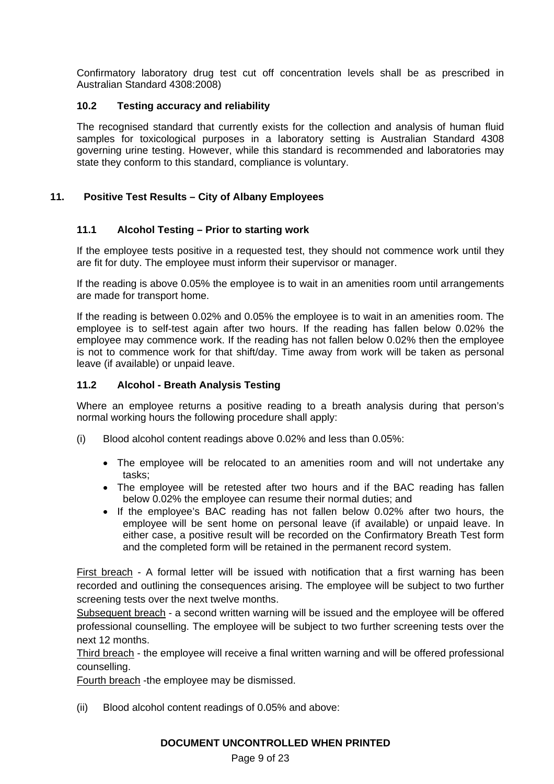Confirmatory laboratory drug test cut off concentration levels shall be as prescribed in Australian Standard 4308:2008)

# **10.2 Testing accuracy and reliability**

The recognised standard that currently exists for the collection and analysis of human fluid samples for toxicological purposes in a laboratory setting is Australian Standard 4308 governing urine testing. However, while this standard is recommended and laboratories may state they conform to this standard, compliance is voluntary.

# **11. Positive Test Results – City of Albany Employees**

# **11.1 Alcohol Testing – Prior to starting work**

If the employee tests positive in a requested test, they should not commence work until they are fit for duty. The employee must inform their supervisor or manager.

If the reading is above 0.05% the employee is to wait in an amenities room until arrangements are made for transport home.

If the reading is between 0.02% and 0.05% the employee is to wait in an amenities room. The employee is to self-test again after two hours. If the reading has fallen below 0.02% the employee may commence work. If the reading has not fallen below 0.02% then the employee is not to commence work for that shift/day. Time away from work will be taken as personal leave (if available) or unpaid leave.

# **11.2 Alcohol - Breath Analysis Testing**

Where an employee returns a positive reading to a breath analysis during that person's normal working hours the following procedure shall apply:

- (i) Blood alcohol content readings above 0.02% and less than 0.05%:
	- The employee will be relocated to an amenities room and will not undertake any tasks;
	- The employee will be retested after two hours and if the BAC reading has fallen below 0.02% the employee can resume their normal duties; and
	- If the employee's BAC reading has not fallen below 0.02% after two hours, the employee will be sent home on personal leave (if available) or unpaid leave. In either case, a positive result will be recorded on the Confirmatory Breath Test form and the completed form will be retained in the permanent record system.

First breach - A formal letter will be issued with notification that a first warning has been recorded and outlining the consequences arising. The employee will be subject to two further screening tests over the next twelve months.

Subsequent breach - a second written warning will be issued and the employee will be offered professional counselling. The employee will be subject to two further screening tests over the next 12 months.

Third breach - the employee will receive a final written warning and will be offered professional counselling.

Fourth breach -the employee may be dismissed.

(ii) Blood alcohol content readings of 0.05% and above: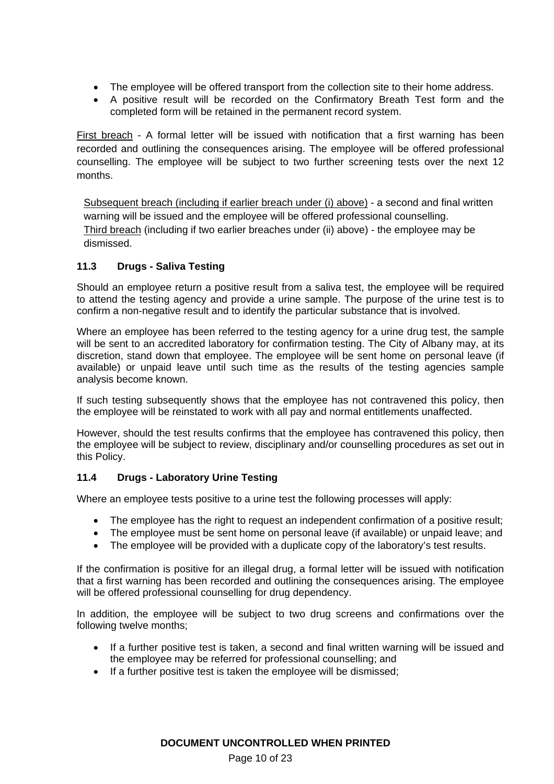- The employee will be offered transport from the collection site to their home address.
- A positive result will be recorded on the Confirmatory Breath Test form and the completed form will be retained in the permanent record system.

First breach - A formal letter will be issued with notification that a first warning has been recorded and outlining the consequences arising. The employee will be offered professional counselling. The employee will be subject to two further screening tests over the next 12 months.

Subsequent breach (including if earlier breach under (i) above) - a second and final written warning will be issued and the employee will be offered professional counselling. Third breach (including if two earlier breaches under (ii) above) - the employee may be dismissed.

# **11.3 Drugs - Saliva Testing**

Should an employee return a positive result from a saliva test, the employee will be required to attend the testing agency and provide a urine sample. The purpose of the urine test is to confirm a non-negative result and to identify the particular substance that is involved.

Where an employee has been referred to the testing agency for a urine drug test, the sample will be sent to an accredited laboratory for confirmation testing. The City of Albany may, at its discretion, stand down that employee. The employee will be sent home on personal leave (if available) or unpaid leave until such time as the results of the testing agencies sample analysis become known.

If such testing subsequently shows that the employee has not contravened this policy, then the employee will be reinstated to work with all pay and normal entitlements unaffected.

However, should the test results confirms that the employee has contravened this policy, then the employee will be subject to review, disciplinary and/or counselling procedures as set out in this Policy.

# **11.4 Drugs - Laboratory Urine Testing**

Where an employee tests positive to a urine test the following processes will apply:

- The employee has the right to request an independent confirmation of a positive result;
- The employee must be sent home on personal leave (if available) or unpaid leave; and
- The employee will be provided with a duplicate copy of the laboratory's test results.

If the confirmation is positive for an illegal drug, a formal letter will be issued with notification that a first warning has been recorded and outlining the consequences arising. The employee will be offered professional counselling for drug dependency.

In addition, the employee will be subject to two drug screens and confirmations over the following twelve months;

- If a further positive test is taken, a second and final written warning will be issued and the employee may be referred for professional counselling; and
- If a further positive test is taken the employee will be dismissed;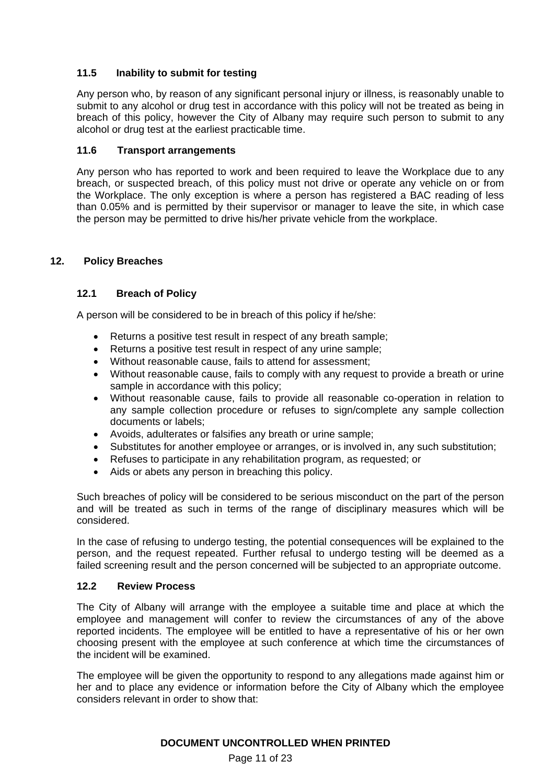# **11.5 Inability to submit for testing**

Any person who, by reason of any significant personal injury or illness, is reasonably unable to submit to any alcohol or drug test in accordance with this policy will not be treated as being in breach of this policy, however the City of Albany may require such person to submit to any alcohol or drug test at the earliest practicable time.

# **11.6 Transport arrangements**

Any person who has reported to work and been required to leave the Workplace due to any breach, or suspected breach, of this policy must not drive or operate any vehicle on or from the Workplace. The only exception is where a person has registered a BAC reading of less than 0.05% and is permitted by their supervisor or manager to leave the site, in which case the person may be permitted to drive his/her private vehicle from the workplace.

# **12. Policy Breaches**

# **12.1 Breach of Policy**

A person will be considered to be in breach of this policy if he/she:

- Returns a positive test result in respect of any breath sample;
- Returns a positive test result in respect of any urine sample;
- Without reasonable cause, fails to attend for assessment;
- Without reasonable cause, fails to comply with any request to provide a breath or urine sample in accordance with this policy;
- Without reasonable cause, fails to provide all reasonable co-operation in relation to any sample collection procedure or refuses to sign/complete any sample collection documents or labels;
- Avoids, adulterates or falsifies any breath or urine sample;
- Substitutes for another employee or arranges, or is involved in, any such substitution;
- Refuses to participate in any rehabilitation program, as requested; or
- Aids or abets any person in breaching this policy.

Such breaches of policy will be considered to be serious misconduct on the part of the person and will be treated as such in terms of the range of disciplinary measures which will be considered.

In the case of refusing to undergo testing, the potential consequences will be explained to the person, and the request repeated. Further refusal to undergo testing will be deemed as a failed screening result and the person concerned will be subjected to an appropriate outcome.

# **12.2 Review Process**

The City of Albany will arrange with the employee a suitable time and place at which the employee and management will confer to review the circumstances of any of the above reported incidents. The employee will be entitled to have a representative of his or her own choosing present with the employee at such conference at which time the circumstances of the incident will be examined.

The employee will be given the opportunity to respond to any allegations made against him or her and to place any evidence or information before the City of Albany which the employee considers relevant in order to show that: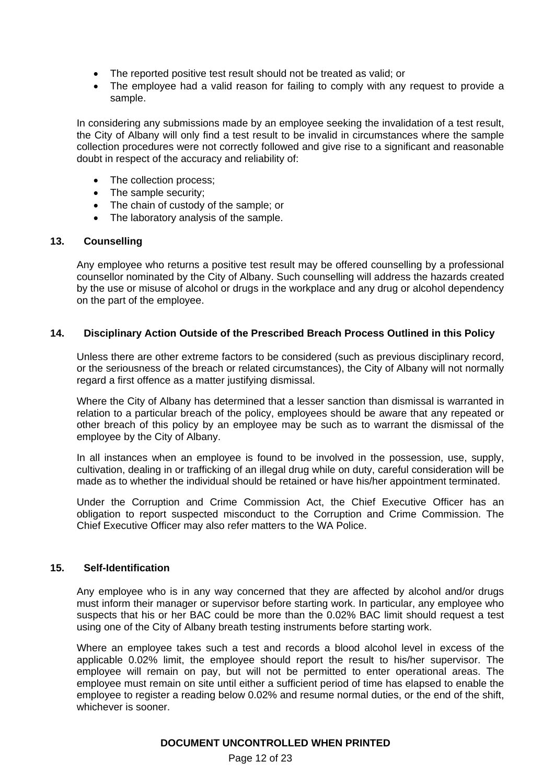- The reported positive test result should not be treated as valid; or
- The employee had a valid reason for failing to comply with any request to provide a sample.

In considering any submissions made by an employee seeking the invalidation of a test result, the City of Albany will only find a test result to be invalid in circumstances where the sample collection procedures were not correctly followed and give rise to a significant and reasonable doubt in respect of the accuracy and reliability of:

- The collection process;
- The sample security:
- The chain of custody of the sample; or
- The laboratory analysis of the sample.

#### **13. Counselling**

Any employee who returns a positive test result may be offered counselling by a professional counsellor nominated by the City of Albany. Such counselling will address the hazards created by the use or misuse of alcohol or drugs in the workplace and any drug or alcohol dependency on the part of the employee.

#### **14. Disciplinary Action Outside of the Prescribed Breach Process Outlined in this Policy**

Unless there are other extreme factors to be considered (such as previous disciplinary record, or the seriousness of the breach or related circumstances), the City of Albany will not normally regard a first offence as a matter justifying dismissal.

Where the City of Albany has determined that a lesser sanction than dismissal is warranted in relation to a particular breach of the policy, employees should be aware that any repeated or other breach of this policy by an employee may be such as to warrant the dismissal of the employee by the City of Albany.

In all instances when an employee is found to be involved in the possession, use, supply, cultivation, dealing in or trafficking of an illegal drug while on duty, careful consideration will be made as to whether the individual should be retained or have his/her appointment terminated.

Under the Corruption and Crime Commission Act, the Chief Executive Officer has an obligation to report suspected misconduct to the Corruption and Crime Commission. The Chief Executive Officer may also refer matters to the WA Police.

# **15. Self-Identification**

Any employee who is in any way concerned that they are affected by alcohol and/or drugs must inform their manager or supervisor before starting work. In particular, any employee who suspects that his or her BAC could be more than the 0.02% BAC limit should request a test using one of the City of Albany breath testing instruments before starting work.

Where an employee takes such a test and records a blood alcohol level in excess of the applicable 0.02% limit, the employee should report the result to his/her supervisor. The employee will remain on pay, but will not be permitted to enter operational areas. The employee must remain on site until either a sufficient period of time has elapsed to enable the employee to register a reading below 0.02% and resume normal duties, or the end of the shift, whichever is sooner.

#### **DOCUMENT UNCONTROLLED WHEN PRINTED**

Page 12 of 23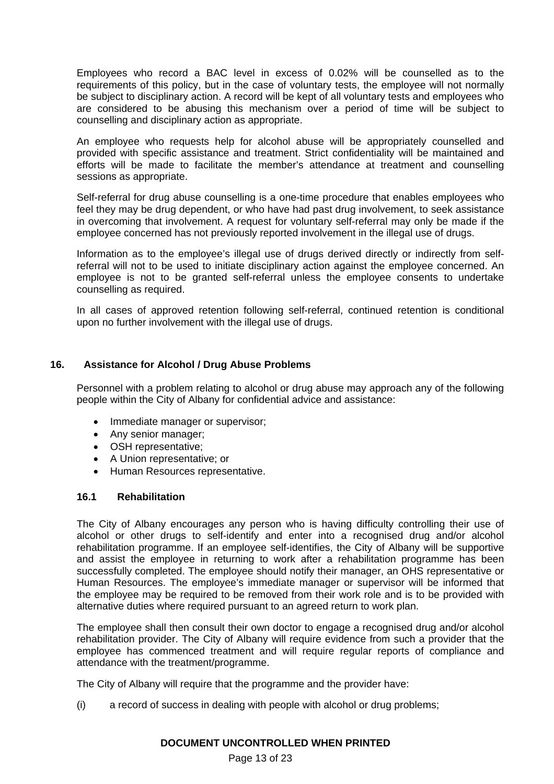Employees who record a BAC level in excess of 0.02% will be counselled as to the requirements of this policy, but in the case of voluntary tests, the employee will not normally be subject to disciplinary action. A record will be kept of all voluntary tests and employees who are considered to be abusing this mechanism over a period of time will be subject to counselling and disciplinary action as appropriate.

An employee who requests help for alcohol abuse will be appropriately counselled and provided with specific assistance and treatment. Strict confidentiality will be maintained and efforts will be made to facilitate the member's attendance at treatment and counselling sessions as appropriate.

Self-referral for drug abuse counselling is a one-time procedure that enables employees who feel they may be drug dependent, or who have had past drug involvement, to seek assistance in overcoming that involvement. A request for voluntary self-referral may only be made if the employee concerned has not previously reported involvement in the illegal use of drugs.

Information as to the employee's illegal use of drugs derived directly or indirectly from selfreferral will not to be used to initiate disciplinary action against the employee concerned. An employee is not to be granted self-referral unless the employee consents to undertake counselling as required.

In all cases of approved retention following self-referral, continued retention is conditional upon no further involvement with the illegal use of drugs.

# **16. Assistance for Alcohol / Drug Abuse Problems**

Personnel with a problem relating to alcohol or drug abuse may approach any of the following people within the City of Albany for confidential advice and assistance:

- Immediate manager or supervisor;
- Any senior manager;
- OSH representative;
- A Union representative; or
- Human Resources representative.

#### **16.1 Rehabilitation**

The City of Albany encourages any person who is having difficulty controlling their use of alcohol or other drugs to self-identify and enter into a recognised drug and/or alcohol rehabilitation programme. If an employee self-identifies, the City of Albany will be supportive and assist the employee in returning to work after a rehabilitation programme has been successfully completed. The employee should notify their manager, an OHS representative or Human Resources. The employee's immediate manager or supervisor will be informed that the employee may be required to be removed from their work role and is to be provided with alternative duties where required pursuant to an agreed return to work plan.

The employee shall then consult their own doctor to engage a recognised drug and/or alcohol rehabilitation provider. The City of Albany will require evidence from such a provider that the employee has commenced treatment and will require regular reports of compliance and attendance with the treatment/programme.

The City of Albany will require that the programme and the provider have:

(i) a record of success in dealing with people with alcohol or drug problems;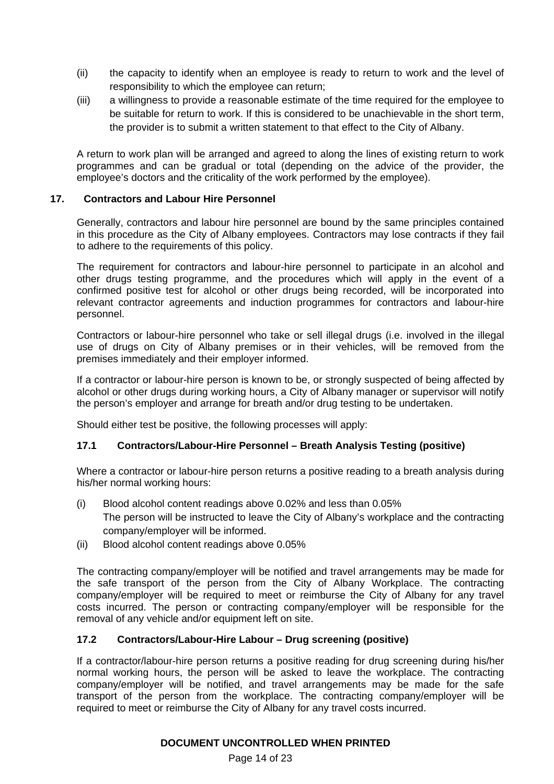- (ii) the capacity to identify when an employee is ready to return to work and the level of responsibility to which the employee can return;
- (iii) a willingness to provide a reasonable estimate of the time required for the employee to be suitable for return to work. If this is considered to be unachievable in the short term, the provider is to submit a written statement to that effect to the City of Albany.

A return to work plan will be arranged and agreed to along the lines of existing return to work programmes and can be gradual or total (depending on the advice of the provider, the employee's doctors and the criticality of the work performed by the employee).

# **17. Contractors and Labour Hire Personnel**

Generally, contractors and labour hire personnel are bound by the same principles contained in this procedure as the City of Albany employees. Contractors may lose contracts if they fail to adhere to the requirements of this policy.

The requirement for contractors and labour-hire personnel to participate in an alcohol and other drugs testing programme, and the procedures which will apply in the event of a confirmed positive test for alcohol or other drugs being recorded, will be incorporated into relevant contractor agreements and induction programmes for contractors and labour-hire personnel.

Contractors or labour-hire personnel who take or sell illegal drugs (i.e. involved in the illegal use of drugs on City of Albany premises or in their vehicles, will be removed from the premises immediately and their employer informed.

If a contractor or labour-hire person is known to be, or strongly suspected of being affected by alcohol or other drugs during working hours, a City of Albany manager or supervisor will notify the person's employer and arrange for breath and/or drug testing to be undertaken.

Should either test be positive, the following processes will apply:

# **17.1 Contractors/Labour-Hire Personnel – Breath Analysis Testing (positive)**

Where a contractor or labour-hire person returns a positive reading to a breath analysis during his/her normal working hours:

- (i) Blood alcohol content readings above 0.02% and less than 0.05% The person will be instructed to leave the City of Albany's workplace and the contracting company/employer will be informed.
- (ii) Blood alcohol content readings above 0.05%

The contracting company/employer will be notified and travel arrangements may be made for the safe transport of the person from the City of Albany Workplace. The contracting company/employer will be required to meet or reimburse the City of Albany for any travel costs incurred. The person or contracting company/employer will be responsible for the removal of any vehicle and/or equipment left on site.

# **17.2 Contractors/Labour-Hire Labour – Drug screening (positive)**

If a contractor/labour-hire person returns a positive reading for drug screening during his/her normal working hours, the person will be asked to leave the workplace. The contracting company/employer will be notified, and travel arrangements may be made for the safe transport of the person from the workplace. The contracting company/employer will be required to meet or reimburse the City of Albany for any travel costs incurred.

# **DOCUMENT UNCONTROLLED WHEN PRINTED**

Page 14 of 23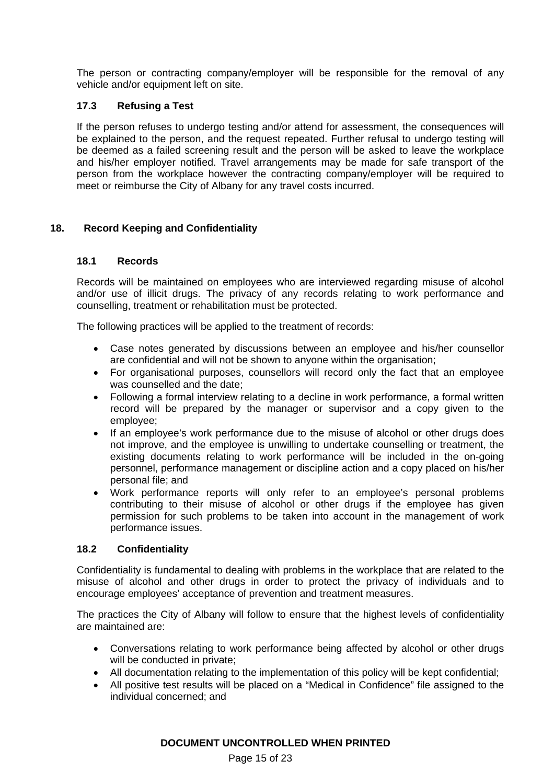The person or contracting company/employer will be responsible for the removal of any vehicle and/or equipment left on site.

# **17.3 Refusing a Test**

If the person refuses to undergo testing and/or attend for assessment, the consequences will be explained to the person, and the request repeated. Further refusal to undergo testing will be deemed as a failed screening result and the person will be asked to leave the workplace and his/her employer notified. Travel arrangements may be made for safe transport of the person from the workplace however the contracting company/employer will be required to meet or reimburse the City of Albany for any travel costs incurred.

# **18. Record Keeping and Confidentiality**

# **18.1 Records**

Records will be maintained on employees who are interviewed regarding misuse of alcohol and/or use of illicit drugs. The privacy of any records relating to work performance and counselling, treatment or rehabilitation must be protected.

The following practices will be applied to the treatment of records:

- Case notes generated by discussions between an employee and his/her counsellor are confidential and will not be shown to anyone within the organisation;
- For organisational purposes, counsellors will record only the fact that an employee was counselled and the date;
- Following a formal interview relating to a decline in work performance, a formal written record will be prepared by the manager or supervisor and a copy given to the employee;
- If an employee's work performance due to the misuse of alcohol or other drugs does not improve, and the employee is unwilling to undertake counselling or treatment, the existing documents relating to work performance will be included in the on-going personnel, performance management or discipline action and a copy placed on his/her personal file; and
- Work performance reports will only refer to an employee's personal problems contributing to their misuse of alcohol or other drugs if the employee has given permission for such problems to be taken into account in the management of work performance issues.

# **18.2 Confidentiality**

Confidentiality is fundamental to dealing with problems in the workplace that are related to the misuse of alcohol and other drugs in order to protect the privacy of individuals and to encourage employees' acceptance of prevention and treatment measures.

The practices the City of Albany will follow to ensure that the highest levels of confidentiality are maintained are:

- Conversations relating to work performance being affected by alcohol or other drugs will be conducted in private;
- All documentation relating to the implementation of this policy will be kept confidential;
- All positive test results will be placed on a "Medical in Confidence" file assigned to the individual concerned; and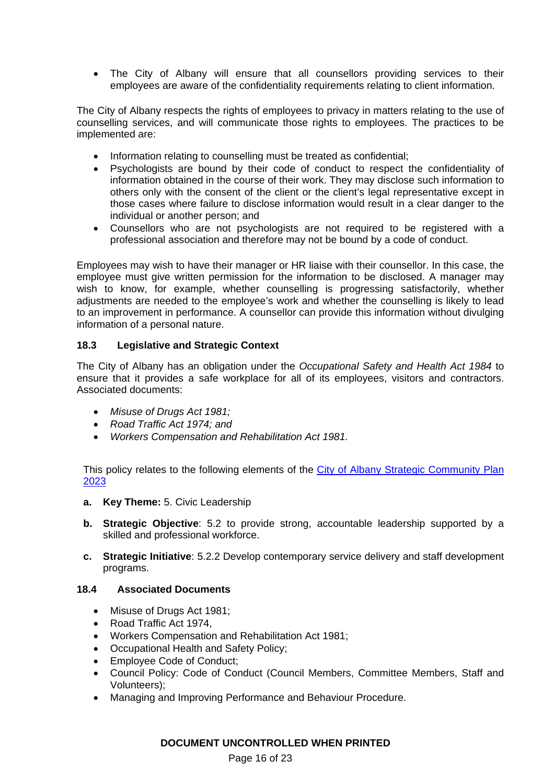The City of Albany will ensure that all counsellors providing services to their employees are aware of the confidentiality requirements relating to client information.

The City of Albany respects the rights of employees to privacy in matters relating to the use of counselling services, and will communicate those rights to employees. The practices to be implemented are:

- Information relating to counselling must be treated as confidential;
- Psychologists are bound by their code of conduct to respect the confidentiality of information obtained in the course of their work. They may disclose such information to others only with the consent of the client or the client's legal representative except in those cases where failure to disclose information would result in a clear danger to the individual or another person; and
- Counsellors who are not psychologists are not required to be registered with a professional association and therefore may not be bound by a code of conduct.

Employees may wish to have their manager or HR liaise with their counsellor. In this case, the employee must give written permission for the information to be disclosed. A manager may wish to know, for example, whether counselling is progressing satisfactorily, whether adjustments are needed to the employee's work and whether the counselling is likely to lead to an improvement in performance. A counsellor can provide this information without divulging information of a personal nature.

# **18.3 Legislative and Strategic Context**

The City of Albany has an obligation under the *Occupational Safety and Health Act 1984* to ensure that it provides a safe workplace for all of its employees, visitors and contractors. Associated documents:

- *Misuse of Drugs Act 1981;*
- *Road Traffic Act 1974; and*
- *Workers Compensation and Rehabilitation Act 1981.*

This policy relates to the following elements of the City of Albany Strategic Community Plan 2023

- **a. Key Theme:** 5. Civic Leadership
- **b. Strategic Objective**: 5.2 to provide strong, accountable leadership supported by a skilled and professional workforce.
- **c. Strategic Initiative**: 5.2.2 Develop contemporary service delivery and staff development programs.

# **18.4 Associated Documents**

- Misuse of Drugs Act 1981;
- Road Traffic Act 1974,
- Workers Compensation and Rehabilitation Act 1981;
- Occupational Health and Safety Policy;
- Employee Code of Conduct;
- Council Policy: Code of Conduct (Council Members, Committee Members, Staff and Volunteers);
- Managing and Improving Performance and Behaviour Procedure.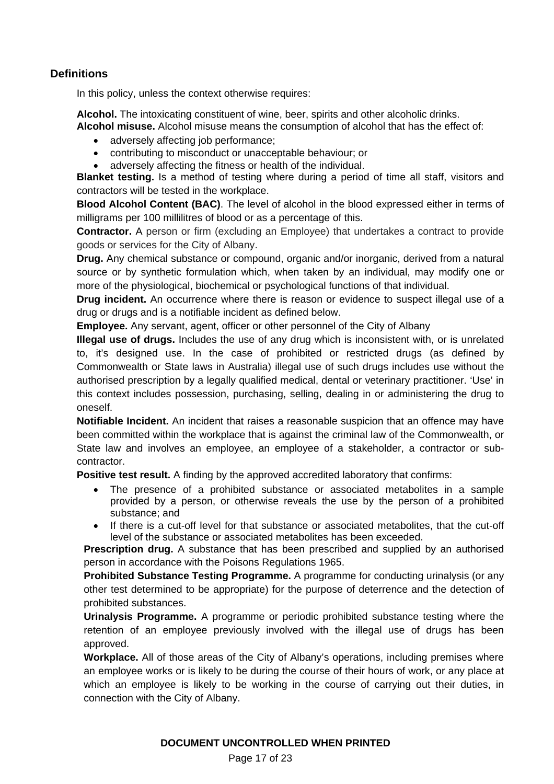# **Definitions**

In this policy, unless the context otherwise requires:

**Alcohol.** The intoxicating constituent of wine, beer, spirits and other alcoholic drinks. **Alcohol misuse.** Alcohol misuse means the consumption of alcohol that has the effect of:

- adversely affecting job performance:
- contributing to misconduct or unacceptable behaviour; or
- adversely affecting the fitness or health of the individual.

**Blanket testing.** Is a method of testing where during a period of time all staff, visitors and contractors will be tested in the workplace.

**Blood Alcohol Content (BAC)**. The level of alcohol in the blood expressed either in terms of milligrams per 100 millilitres of blood or as a percentage of this.

**Contractor.** A person or firm (excluding an Employee) that undertakes a contract to provide goods or services for the City of Albany.

**Drug.** Any chemical substance or compound, organic and/or inorganic, derived from a natural source or by synthetic formulation which, when taken by an individual, may modify one or more of the physiological, biochemical or psychological functions of that individual.

**Drug incident.** An occurrence where there is reason or evidence to suspect illegal use of a drug or drugs and is a notifiable incident as defined below.

**Employee.** Any servant, agent, officer or other personnel of the City of Albany

**Illegal use of drugs.** Includes the use of any drug which is inconsistent with, or is unrelated to, it's designed use. In the case of prohibited or restricted drugs (as defined by Commonwealth or State laws in Australia) illegal use of such drugs includes use without the authorised prescription by a legally qualified medical, dental or veterinary practitioner. 'Use' in this context includes possession, purchasing, selling, dealing in or administering the drug to oneself.

**Notifiable Incident.** An incident that raises a reasonable suspicion that an offence may have been committed within the workplace that is against the criminal law of the Commonwealth, or State law and involves an employee, an employee of a stakeholder, a contractor or subcontractor.

**Positive test result.** A finding by the approved accredited laboratory that confirms:

- The presence of a prohibited substance or associated metabolites in a sample provided by a person, or otherwise reveals the use by the person of a prohibited substance; and
- If there is a cut-off level for that substance or associated metabolites, that the cut-off level of the substance or associated metabolites has been exceeded.

**Prescription drug.** A substance that has been prescribed and supplied by an authorised person in accordance with the Poisons Regulations 1965.

**Prohibited Substance Testing Programme.** A programme for conducting urinalysis (or any other test determined to be appropriate) for the purpose of deterrence and the detection of prohibited substances.

**Urinalysis Programme.** A programme or periodic prohibited substance testing where the retention of an employee previously involved with the illegal use of drugs has been approved.

**Workplace.** All of those areas of the City of Albany's operations, including premises where an employee works or is likely to be during the course of their hours of work, or any place at which an employee is likely to be working in the course of carrying out their duties, in connection with the City of Albany.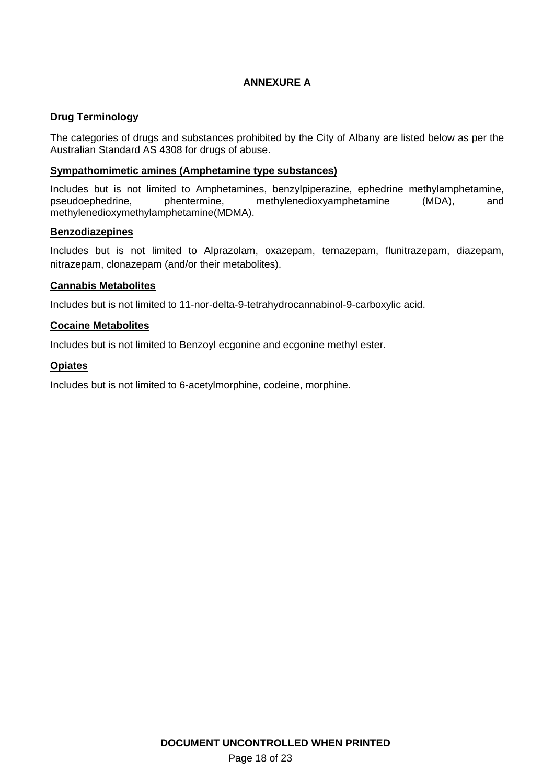# **ANNEXURE A**

# **Drug Terminology**

The categories of drugs and substances prohibited by the City of Albany are listed below as per the Australian Standard AS 4308 for drugs of abuse.

### **Sympathomimetic amines (Amphetamine type substances)**

Includes but is not limited to Amphetamines, benzylpiperazine, ephedrine methylamphetamine, pseudoephedrine, phentermine, methylenedioxyamphetamine (MDA), and methylenedioxymethylamphetamine(MDMA).

#### **Benzodiazepines**

Includes but is not limited to Alprazolam, oxazepam, temazepam, flunitrazepam, diazepam, nitrazepam, clonazepam (and/or their metabolites).

#### **Cannabis Metabolites**

Includes but is not limited to 11-nor-delta-9-tetrahydrocannabinol-9-carboxylic acid.

# **Cocaine Metabolites**

Includes but is not limited to Benzoyl ecgonine and ecgonine methyl ester.

# **Opiates**

Includes but is not limited to 6-acetylmorphine, codeine, morphine.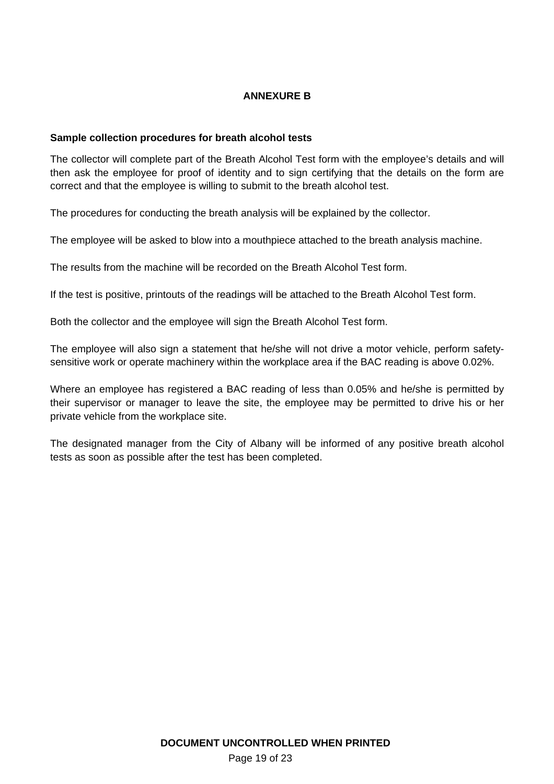# **ANNEXURE B**

#### **Sample collection procedures for breath alcohol tests**

The collector will complete part of the Breath Alcohol Test form with the employee's details and will then ask the employee for proof of identity and to sign certifying that the details on the form are correct and that the employee is willing to submit to the breath alcohol test.

The procedures for conducting the breath analysis will be explained by the collector.

The employee will be asked to blow into a mouthpiece attached to the breath analysis machine.

The results from the machine will be recorded on the Breath Alcohol Test form.

If the test is positive, printouts of the readings will be attached to the Breath Alcohol Test form.

Both the collector and the employee will sign the Breath Alcohol Test form.

The employee will also sign a statement that he/she will not drive a motor vehicle, perform safetysensitive work or operate machinery within the workplace area if the BAC reading is above 0.02%.

Where an employee has registered a BAC reading of less than 0.05% and he/she is permitted by their supervisor or manager to leave the site, the employee may be permitted to drive his or her private vehicle from the workplace site.

The designated manager from the City of Albany will be informed of any positive breath alcohol tests as soon as possible after the test has been completed.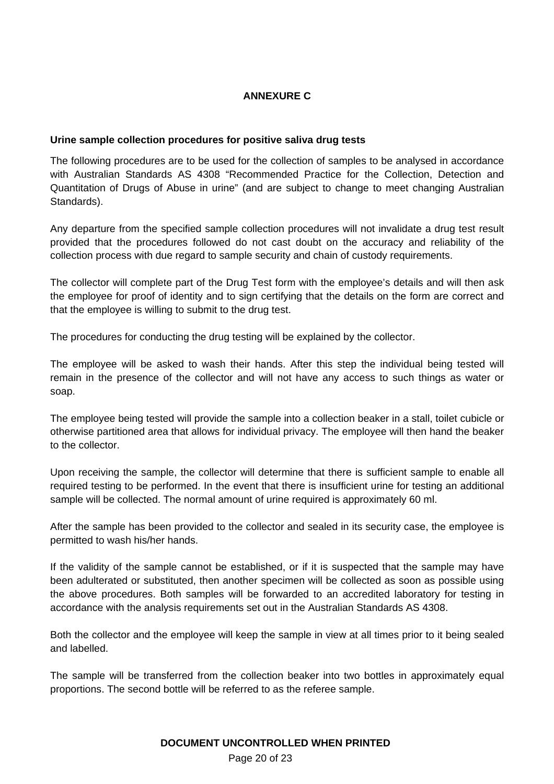# **ANNEXURE C**

# **Urine sample collection procedures for positive saliva drug tests**

The following procedures are to be used for the collection of samples to be analysed in accordance with Australian Standards AS 4308 "Recommended Practice for the Collection, Detection and Quantitation of Drugs of Abuse in urine" (and are subject to change to meet changing Australian Standards).

Any departure from the specified sample collection procedures will not invalidate a drug test result provided that the procedures followed do not cast doubt on the accuracy and reliability of the collection process with due regard to sample security and chain of custody requirements.

The collector will complete part of the Drug Test form with the employee's details and will then ask the employee for proof of identity and to sign certifying that the details on the form are correct and that the employee is willing to submit to the drug test.

The procedures for conducting the drug testing will be explained by the collector.

The employee will be asked to wash their hands. After this step the individual being tested will remain in the presence of the collector and will not have any access to such things as water or soap.

The employee being tested will provide the sample into a collection beaker in a stall, toilet cubicle or otherwise partitioned area that allows for individual privacy. The employee will then hand the beaker to the collector.

Upon receiving the sample, the collector will determine that there is sufficient sample to enable all required testing to be performed. In the event that there is insufficient urine for testing an additional sample will be collected. The normal amount of urine required is approximately 60 ml.

After the sample has been provided to the collector and sealed in its security case, the employee is permitted to wash his/her hands.

If the validity of the sample cannot be established, or if it is suspected that the sample may have been adulterated or substituted, then another specimen will be collected as soon as possible using the above procedures. Both samples will be forwarded to an accredited laboratory for testing in accordance with the analysis requirements set out in the Australian Standards AS 4308.

Both the collector and the employee will keep the sample in view at all times prior to it being sealed and labelled.

The sample will be transferred from the collection beaker into two bottles in approximately equal proportions. The second bottle will be referred to as the referee sample.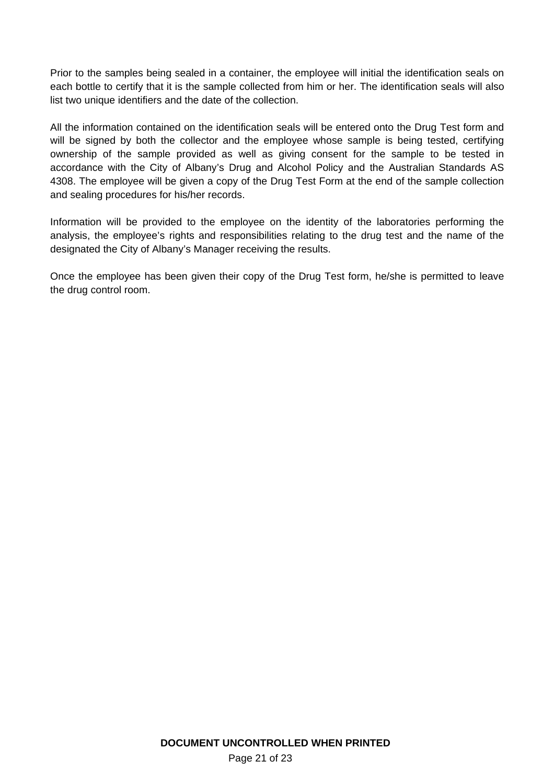Prior to the samples being sealed in a container, the employee will initial the identification seals on each bottle to certify that it is the sample collected from him or her. The identification seals will also list two unique identifiers and the date of the collection.

All the information contained on the identification seals will be entered onto the Drug Test form and will be signed by both the collector and the employee whose sample is being tested, certifying ownership of the sample provided as well as giving consent for the sample to be tested in accordance with the City of Albany's Drug and Alcohol Policy and the Australian Standards AS 4308. The employee will be given a copy of the Drug Test Form at the end of the sample collection and sealing procedures for his/her records.

Information will be provided to the employee on the identity of the laboratories performing the analysis, the employee's rights and responsibilities relating to the drug test and the name of the designated the City of Albany's Manager receiving the results.

Once the employee has been given their copy of the Drug Test form, he/she is permitted to leave the drug control room.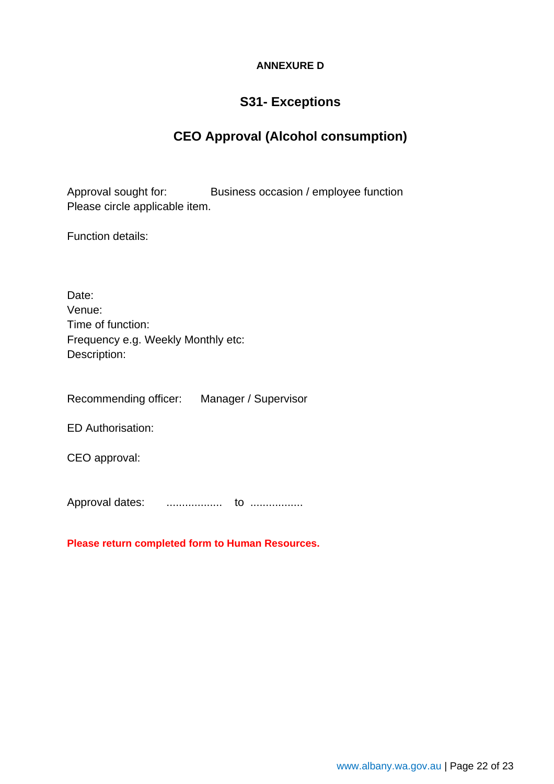# **ANNEXURE D**

# **S31- Exceptions**

# **CEO Approval (Alcohol consumption)**

Approval sought for: Business occasion / employee function Please circle applicable item.

Function details:

| Date:                              |
|------------------------------------|
| Venue:                             |
| Time of function:                  |
| Frequency e.g. Weekly Monthly etc: |
| Description:                       |

Recommending officer: Manager / Supervisor

ED Authorisation:

CEO approval:

Approval dates: .................. to .................

**Please return completed form to Human Resources.**